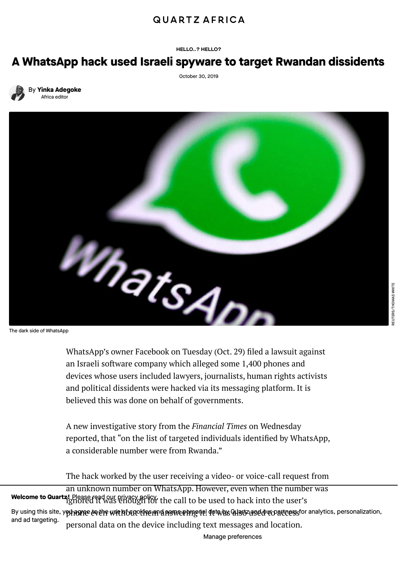## **QUARTZ AFRICA**

HELLO..? HELLO?

## A WhatsApp hack used Israeli spyware to target Rwandan dissidents

October 30, 2019



By Yinka [Adegoke](https://qz.com/author/yinkaqz/) Africa editor



WhatsApp's owner Facebook on Tuesday (Oct. 29) filed a lawsuit against an Israeli software company which alleged some 1,400 phones and devices whose users included lawyers, journalists, human rights activists and political dissidents were hacked via its messaging platform. It is believed this was done on behalf of governments.

A new [investigative](https://www.ft.com/content/d9127eae-f99d-11e9-98fd-4d6c20050229) story from the *Financial Times* on Wednesday reported, that "on the list of targeted individuals identified by WhatsApp, a considerable number were from Rwanda."

The hack worked by the user receiving a video- or voice-call request from an unknown number on WhatsApp. However, even when the number was **Welcome to Quartz!** Please read our [privacy](https://qz.com/about/privacy-policy/) policy.<br>Welcome to Quartz! Please read our privacy policy. the call to be used to hack into the user's By using this site, y**o hagree to the use h**ounckles and now personal data as Alsozase duro artners for analytics, personalization, personal data on the device including text messages and location. and ad targeting.

Manage [preferences](https://qz.com/about/privacy-policy/)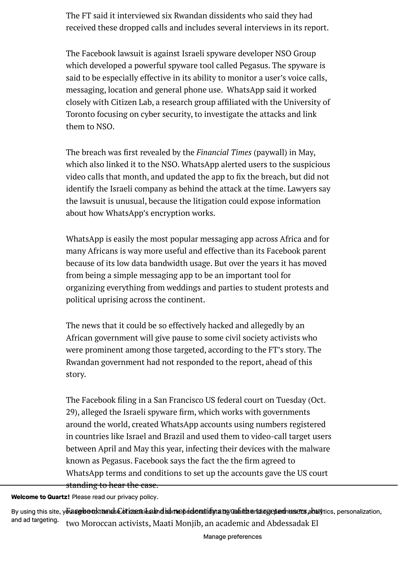The FT said it interviewed six Rwandan dissidents who said they had received these dropped calls and includes several interviews in its [report.](https://www.ft.com/content/d9127eae-f99d-11e9-98fd-4d6c20050229)

The Facebook lawsuit is against Israeli spyware developer NSO Group which developed a powerful spyware tool called Pegasus. The spyware is said to be especially effective in its ability to monitor a user's voice calls, [messaging,](https://faq.whatsapp.com/help/video-calling-cyber-attack) location and general phone use. WhatsApp said it worked closely with Citizen Lab, a research group afliated with the University of Toronto focusing on cyber security, to investigate the attacks and link them to NSO.

The breach was first revealed by the *[Financial](https://www.ft.com/content/4da1117e-756c-11e9-be7d-6d846537acab) Times* (paywall) in May, which also linked it to the NSO. WhatsApp [alerted](https://qz.com/1618815/how-to-update-whatsapp-to-avoid-its-security-breach/) users to the suspicious video calls that month, and updated the app to fix the breach, but did not identify the Israeli company as behind the attack at the time. Lawyers say the lawsuit is unusual, because the litigation could expose information about how WhatsApp's encryption works.

WhatsApp is easily the most popular [messaging](https://qz.com/africa/1206935/whatsapp-is-the-most-popular-messaging-app-in-africa/) app across Africa and for many Africans is way more useful and effective than its Facebook parent because of its low data bandwidth usage. But over the years it has moved from being a simple messaging app to be an important tool for organizing everything from weddings and parties to student protests and political uprising across the continent.

The news that it could be so effectively hacked and allegedly by an African government will give pause to some civil society activists who were prominent among those targeted, according to the FT's story. The Rwandan government had not responded to the report, ahead of this story.

The [Facebook](https://scontent.whatsapp.net/v/t61/71401326_433512174021632_8968884873265386273_n.pdf/WhatsAppNDCAL102019.pdf?_nc_oc=AQm9pXuqVZMwBYg43Xsd9sb3jA6VS25oRd0S2aZIAEBKBbk5U6m7OaLNA3CYcGTwmWs&_nc_ht=scontent.whatsapp.net&oh=ece3df69c75005985e8fc27c2fab8ab6&oe=5DBBF747) filing in a San Francisco US federal court on Tuesday (Oct. 29), alleged the Israeli spyware firm, which works with governments around the world, created WhatsApp accounts using numbers registered in countries like Israel and Brazil and used them to video-call target users between April and May this year, infecting their devices with the malware known as Pegasus. Facebook says the fact the the firm agreed to WhatsApp terms and conditions to set up the accounts gave the US court standing to hear the case.

Welcome to Quartz! Please read our [privacy](https://qz.com/about/privacy-policy/) policy.

By using this site, y**&aagleedkthands£otizentiealand idmepedenntifyrany Quarthertaogepadhusens,abuty**tics, personalization, two Moroccan activists, Maati Monjib, an academic and Abdessadak El and ad targeting.